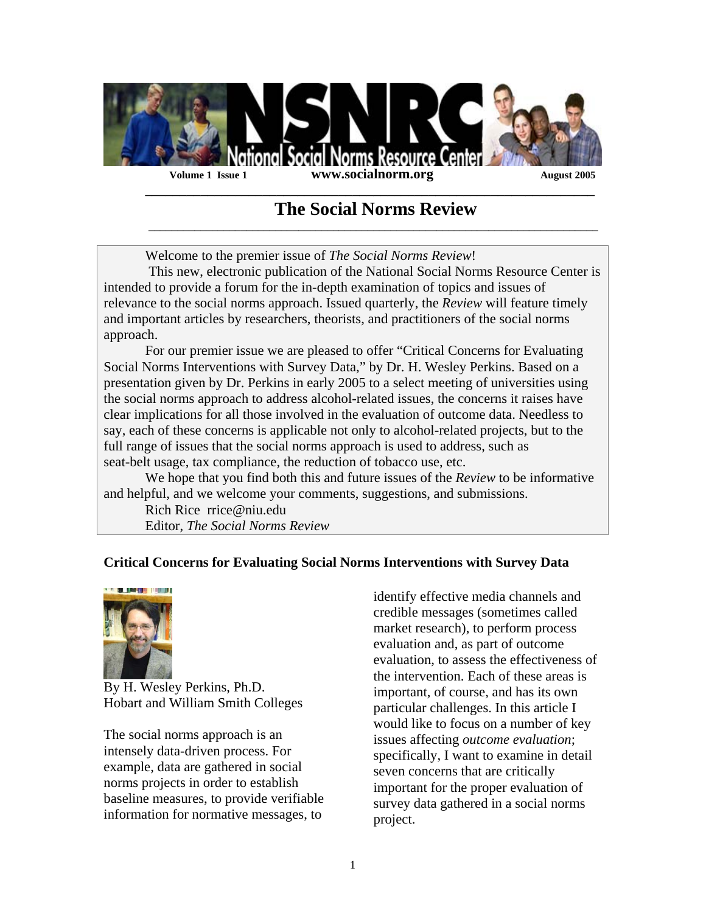

 **\_\_\_\_\_\_\_\_\_\_\_\_\_\_\_\_\_\_\_\_\_\_\_\_\_\_\_\_\_\_\_\_\_\_\_\_\_\_\_\_\_\_\_\_\_\_\_\_\_\_\_\_\_\_\_\_\_\_\_\_\_\_\_\_\_** 

 $\mathcal{L}_\text{max} = \frac{1}{2} \sum_{i=1}^{n} \frac{1}{2} \sum_{j=1}^{n} \frac{1}{2} \sum_{j=1}^{n} \frac{1}{2} \sum_{j=1}^{n} \frac{1}{2} \sum_{j=1}^{n} \frac{1}{2} \sum_{j=1}^{n} \frac{1}{2} \sum_{j=1}^{n} \frac{1}{2} \sum_{j=1}^{n} \frac{1}{2} \sum_{j=1}^{n} \frac{1}{2} \sum_{j=1}^{n} \frac{1}{2} \sum_{j=1}^{n} \frac{1}{2} \sum_{j=1}^{n} \frac{1$ 

# **The Social Norms Review**

Welcome to the premier issue of *The Social Norms Review*!

 This new, electronic publication of the National Social Norms Resource Center is intended to provide a forum for the in-depth examination of topics and issues of relevance to the social norms approach. Issued quarterly, the *Review* will feature timely and important articles by researchers, theorists, and practitioners of the social norms approach.

For our premier issue we are pleased to offer "Critical Concerns for Evaluating Social Norms Interventions with Survey Data," by Dr. H. Wesley Perkins. Based on a presentation given by Dr. Perkins in early 2005 to a select meeting of universities using the social norms approach to address alcohol-related issues, the concerns it raises have clear implications for all those involved in the evaluation of outcome data. Needless to say, each of these concerns is applicable not only to alcohol-related projects, but to the full range of issues that the social norms approach is used to address, such as seat-belt usage, tax compliance, the reduction of tobacco use, etc.

We hope that you find both this and future issues of the *Review* to be informative and helpful, and we welcome your comments, suggestions, and submissions.

Rich Rice rrice@niu.edu Editor, *The Social Norms Review*

# **Critical Concerns for Evaluating Social Norms Interventions with Survey Data**



By H. Wesley Perkins, Ph.D. Hobart and William Smith Colleges

The social norms approach is an intensely data-driven process. For example, data are gathered in social norms projects in order to establish baseline measures, to provide verifiable information for normative messages, to

identify effective media channels and credible messages (sometimes called market research), to perform process evaluation and, as part of outcome evaluation, to assess the effectiveness of the intervention. Each of these areas is important, of course, and has its own particular challenges. In this article I would like to focus on a number of key issues affecting *outcome evaluation*; specifically, I want to examine in detail seven concerns that are critically important for the proper evaluation of survey data gathered in a social norms project.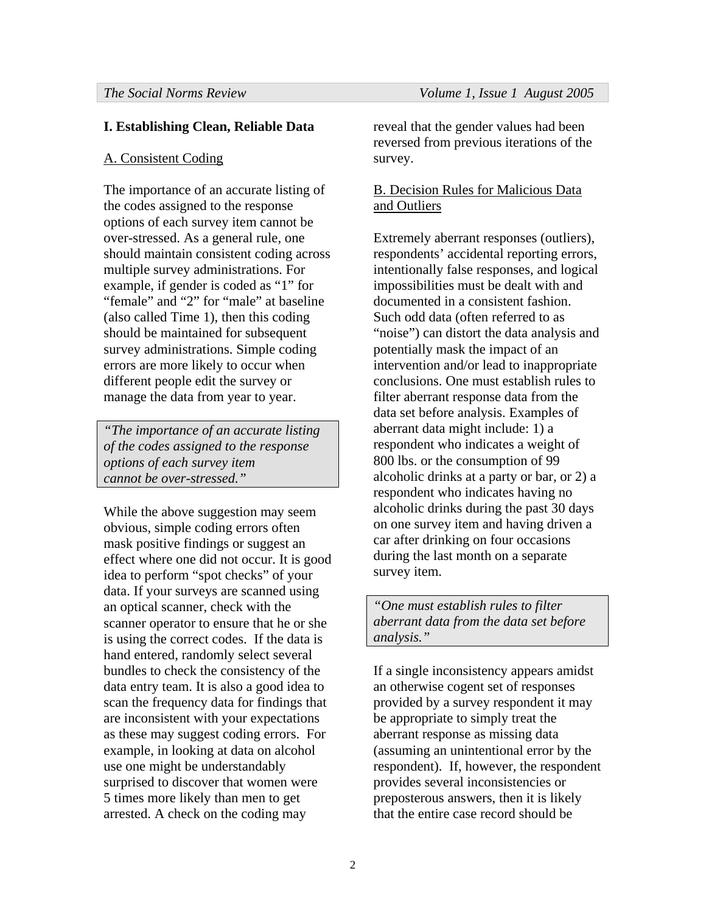# **I. Establishing Clean, Reliable Data**

# A. Consistent Coding

The importance of an accurate listing of the codes assigned to the response options of each survey item cannot be over-stressed. As a general rule, one should maintain consistent coding across multiple survey administrations. For example, if gender is coded as "1" for "female" and "2" for "male" at baseline (also called Time 1), then this coding should be maintained for subsequent survey administrations. Simple coding errors are more likely to occur when different people edit the survey or manage the data from year to year.

*"The importance of an accurate listing of the codes assigned to the response options of each survey item cannot be over-stressed."* 

While the above suggestion may seem obvious, simple coding errors often mask positive findings or suggest an effect where one did not occur. It is good idea to perform "spot checks" of your data. If your surveys are scanned using an optical scanner, check with the scanner operator to ensure that he or she is using the correct codes. If the data is hand entered, randomly select several bundles to check the consistency of the data entry team. It is also a good idea to scan the frequency data for findings that are inconsistent with your expectations as these may suggest coding errors. For example, in looking at data on alcohol use one might be understandably surprised to discover that women were 5 times more likely than men to get arrested. A check on the coding may

reveal that the gender values had been reversed from previous iterations of the survey.

# B. Decision Rules for Malicious Data and Outliers

Extremely aberrant responses (outliers), respondents' accidental reporting errors, intentionally false responses, and logical impossibilities must be dealt with and documented in a consistent fashion. Such odd data (often referred to as "noise") can distort the data analysis and potentially mask the impact of an intervention and/or lead to inappropriate conclusions. One must establish rules to filter aberrant response data from the data set before analysis. Examples of aberrant data might include: 1) a respondent who indicates a weight of 800 lbs. or the consumption of 99 alcoholic drinks at a party or bar, or 2) a respondent who indicates having no alcoholic drinks during the past 30 days on one survey item and having driven a car after drinking on four occasions during the last month on a separate survey item.

*"One must establish rules to filter aberrant data from the data set before analysis."* 

If a single inconsistency appears amidst an otherwise cogent set of responses provided by a survey respondent it may be appropriate to simply treat the aberrant response as missing data (assuming an unintentional error by the respondent). If, however, the respondent provides several inconsistencies or preposterous answers, then it is likely that the entire case record should be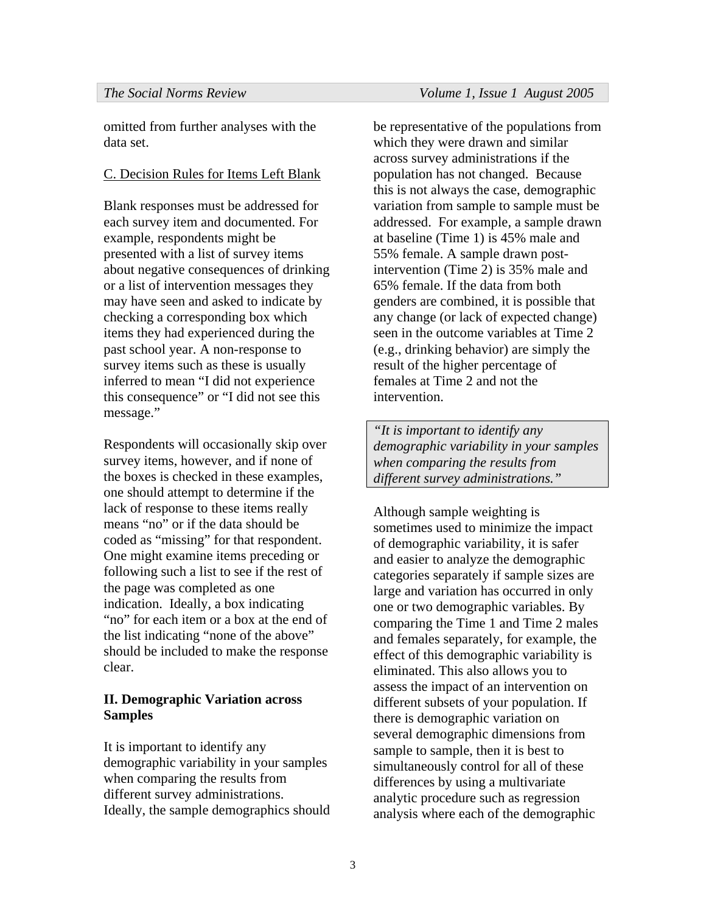omitted from further analyses with the data set.

# C. Decision Rules for Items Left Blank

Blank responses must be addressed for each survey item and documented. For example, respondents might be presented with a list of survey items about negative consequences of drinking or a list of intervention messages they may have seen and asked to indicate by checking a corresponding box which items they had experienced during the past school year. A non-response to survey items such as these is usually inferred to mean "I did not experience this consequence" or "I did not see this message."

Respondents will occasionally skip over survey items, however, and if none of the boxes is checked in these examples, one should attempt to determine if the lack of response to these items really means "no" or if the data should be coded as "missing" for that respondent. One might examine items preceding or following such a list to see if the rest of the page was completed as one indication. Ideally, a box indicating "no" for each item or a box at the end of the list indicating "none of the above" should be included to make the response clear.

# **II. Demographic Variation across Samples**

It is important to identify any demographic variability in your samples when comparing the results from different survey administrations. Ideally, the sample demographics should

be representative of the populations from which they were drawn and similar across survey administrations if the population has not changed. Because this is not always the case, demographic variation from sample to sample must be addressed. For example, a sample drawn at baseline (Time 1) is 45% male and 55% female. A sample drawn postintervention (Time 2) is 35% male and 65% female. If the data from both genders are combined, it is possible that any change (or lack of expected change) seen in the outcome variables at Time 2 (e.g., drinking behavior) are simply the result of the higher percentage of females at Time 2 and not the intervention.

*"It is important to identify any demographic variability in your samples when comparing the results from different survey administrations."* 

Although sample weighting is sometimes used to minimize the impact of demographic variability, it is safer and easier to analyze the demographic categories separately if sample sizes are large and variation has occurred in only one or two demographic variables. By comparing the Time 1 and Time 2 males and females separately, for example, the effect of this demographic variability is eliminated. This also allows you to assess the impact of an intervention on different subsets of your population. If there is demographic variation on several demographic dimensions from sample to sample, then it is best to simultaneously control for all of these differences by using a multivariate analytic procedure such as regression analysis where each of the demographic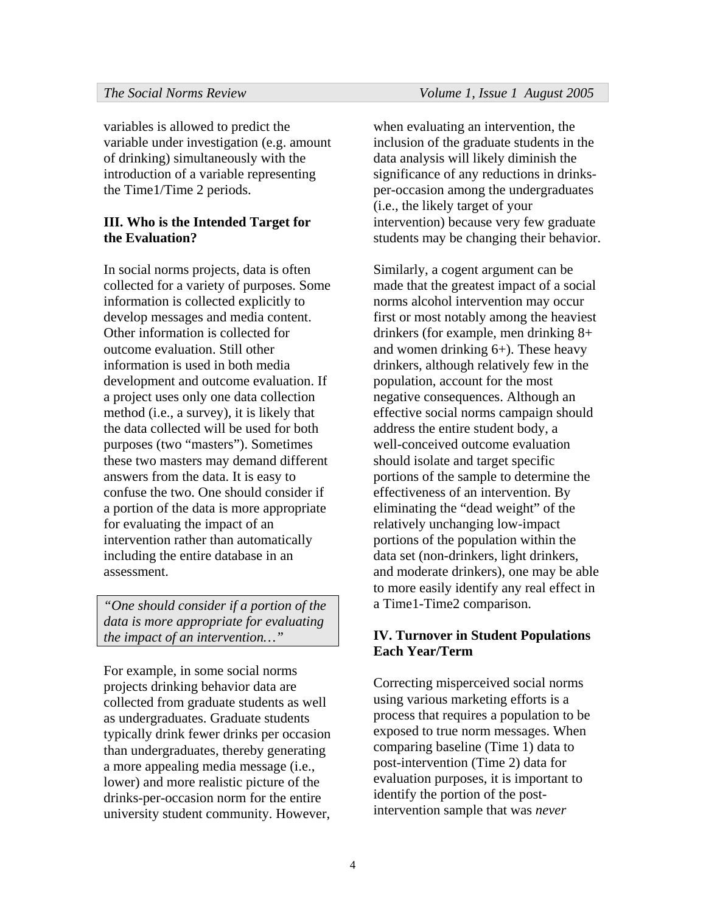variables is allowed to predict the variable under investigation (e.g. amount of drinking) simultaneously with the introduction of a variable representing the Time1/Time 2 periods.

### **III. Who is the Intended Target for the Evaluation?**

In social norms projects, data is often collected for a variety of purposes. Some information is collected explicitly to develop messages and media content. Other information is collected for outcome evaluation. Still other information is used in both media development and outcome evaluation. If a project uses only one data collection method (i.e., a survey), it is likely that the data collected will be used for both purposes (two "masters"). Sometimes these two masters may demand different answers from the data. It is easy to confuse the two. One should consider if a portion of the data is more appropriate for evaluating the impact of an intervention rather than automatically including the entire database in an assessment.

*"One should consider if a portion of the data is more appropriate for evaluating the impact of an intervention…"* 

For example, in some social norms projects drinking behavior data are collected from graduate students as well as undergraduates. Graduate students typically drink fewer drinks per occasion than undergraduates, thereby generating a more appealing media message (i.e., lower) and more realistic picture of the drinks-per-occasion norm for the entire university student community. However,

when evaluating an intervention, the inclusion of the graduate students in the data analysis will likely diminish the significance of any reductions in drinksper-occasion among the undergraduates (i.e., the likely target of your intervention) because very few graduate students may be changing their behavior.

Similarly, a cogent argument can be made that the greatest impact of a social norms alcohol intervention may occur first or most notably among the heaviest drinkers (for example, men drinking 8+ and women drinking 6+). These heavy drinkers, although relatively few in the population, account for the most negative consequences. Although an effective social norms campaign should address the entire student body, a well-conceived outcome evaluation should isolate and target specific portions of the sample to determine the effectiveness of an intervention. By eliminating the "dead weight" of the relatively unchanging low-impact portions of the population within the data set (non-drinkers, light drinkers, and moderate drinkers), one may be able to more easily identify any real effect in a Time1-Time2 comparison.

# **IV. Turnover in Student Populations Each Year/Term**

Correcting misperceived social norms using various marketing efforts is a process that requires a population to be exposed to true norm messages. When comparing baseline (Time 1) data to post-intervention (Time 2) data for evaluation purposes, it is important to identify the portion of the postintervention sample that was *never*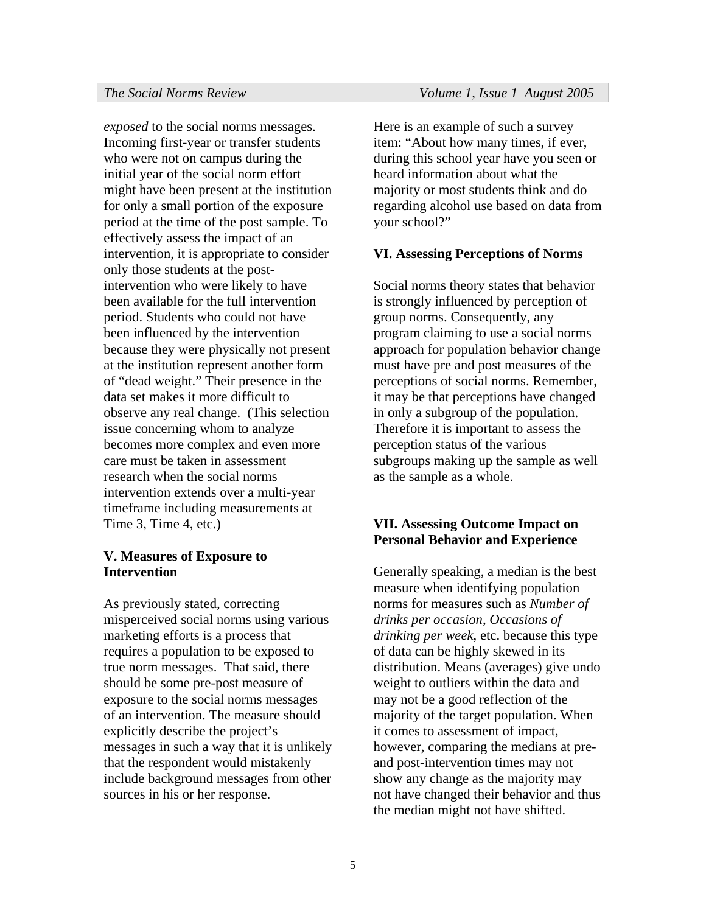*exposed* to the social norms messages. Incoming first-year or transfer students who were not on campus during the initial year of the social norm effort might have been present at the institution for only a small portion of the exposure period at the time of the post sample. To effectively assess the impact of an intervention, it is appropriate to consider only those students at the postintervention who were likely to have been available for the full intervention period. Students who could not have been influenced by the intervention because they were physically not present at the institution represent another form of "dead weight." Their presence in the data set makes it more difficult to observe any real change. (This selection issue concerning whom to analyze becomes more complex and even more care must be taken in assessment research when the social norms intervention extends over a multi-year timeframe including measurements at Time 3, Time 4, etc.)

### **V. Measures of Exposure to Intervention**

As previously stated, correcting misperceived social norms using various marketing efforts is a process that requires a population to be exposed to true norm messages. That said, there should be some pre-post measure of exposure to the social norms messages of an intervention. The measure should explicitly describe the project's messages in such a way that it is unlikely that the respondent would mistakenly include background messages from other sources in his or her response.

Here is an example of such a survey item: "About how many times, if ever, during this school year have you seen or heard information about what the majority or most students think and do regarding alcohol use based on data from your school?"

### **VI. Assessing Perceptions of Norms**

Social norms theory states that behavior is strongly influenced by perception of group norms. Consequently, any program claiming to use a social norms approach for population behavior change must have pre and post measures of the perceptions of social norms. Remember, it may be that perceptions have changed in only a subgroup of the population. Therefore it is important to assess the perception status of the various subgroups making up the sample as well as the sample as a whole.

### **VII. Assessing Outcome Impact on Personal Behavior and Experience**

Generally speaking, a median is the best measure when identifying population norms for measures such as *Number of drinks per occasion*, *Occasions of drinking per week*, etc. because this type of data can be highly skewed in its distribution. Means (averages) give undo weight to outliers within the data and may not be a good reflection of the majority of the target population. When it comes to assessment of impact, however, comparing the medians at preand post-intervention times may not show any change as the majority may not have changed their behavior and thus the median might not have shifted.